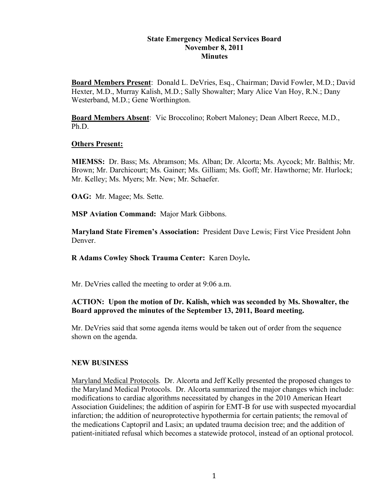#### **State Emergency Medical Services Board November 8, 2011 Minutes**

**Board Members Present**: Donald L. DeVries, Esq., Chairman; David Fowler, M.D.; David Hexter, M.D., Murray Kalish, M.D.; Sally Showalter; Mary Alice Van Hoy, R.N.; Dany Westerband, M.D.; Gene Worthington.

**Board Members Absent**: Vic Broccolino; Robert Maloney; Dean Albert Reece, M.D., Ph.D.

#### **Others Present:**

**MIEMSS:** Dr. Bass; Ms. Abramson; Ms. Alban; Dr. Alcorta; Ms. Aycock; Mr. Balthis; Mr. Brown; Mr. Darchicourt; Ms. Gainer; Ms. Gilliam; Ms. Goff; Mr. Hawthorne; Mr. Hurlock; Mr. Kelley; Ms. Myers; Mr. New; Mr. Schaefer.

**OAG:** Mr. Magee; Ms. Sette.

**MSP Aviation Command:** Major Mark Gibbons.

**Maryland State Firemen's Association:** President Dave Lewis; First Vice President John Denver.

**R Adams Cowley Shock Trauma Center:** Karen Doyle**.**

Mr. DeVries called the meeting to order at 9:06 a.m.

#### **ACTION: Upon the motion of Dr. Kalish, which was seconded by Ms. Showalter, the Board approved the minutes of the September 13, 2011, Board meeting.**

Mr. DeVries said that some agenda items would be taken out of order from the sequence shown on the agenda.

#### **NEW BUSINESS**

Maryland Medical Protocols. Dr. Alcorta and Jeff Kelly presented the proposed changes to the Maryland Medical Protocols. Dr. Alcorta summarized the major changes which include: modifications to cardiac algorithms necessitated by changes in the 2010 American Heart Association Guidelines; the addition of aspirin for EMT-B for use with suspected myocardial infarction; the addition of neuroprotective hypothermia for certain patients; the removal of the medications Captopril and Lasix; an updated trauma decision tree; and the addition of patient-initiated refusal which becomes a statewide protocol, instead of an optional protocol.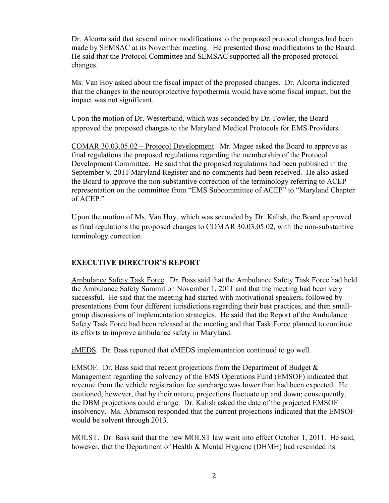Dr. Alcorta said that several minor modifications to the proposed protocol changes had been made by SEMSAC at its November meeting. He presented those modifications to the Board. He said that the Protocol Committee and SEMSAC supported all the proposed protocol changes.

Ms. Van Hoy asked about the fiscal impact of the proposed changes. Dr. Alcorta indicated that the changes to the neuroprotective hypothermia would have some fiscal impact, but the impact was not significant.

Upon the motion of Dr. Westerband, which was seconded by Dr. Fowler, the Board approved the proposed changes to the Maryland Medical Protocols for EMS Providers.

COMAR 30.03.05.02 – Protocol Development. Mr. Magee asked the Board to approve as final regulations the proposed regulations regarding the membership of the Protocol Development Committee. He said that the proposed regulations had been published in the September 9, 2011 Maryland Register and no comments had been received. He also asked the Board to approve the non-substantive correction of the terminology referring to ACEP representation on the committee from "EMS Subcommittee of ACEP" to "Maryland Chapter of ACEP."

Upon the motion of Ms. Van Hoy, which was seconded by Dr. Kalish, the Board approved as final regulations the proposed changes to COMAR 30.03.05.02, with the non-substantive terminology correction.

#### **EXECUTIVE DIRECTOR'S REPORT**

Ambulance Safety Task Force. Dr. Bass said that the Ambulance Safety Task Force had held the Ambulance Safety Summit on November 1, 2011 and that the meeting had been very successful. He said that the meeting had started with motivational speakers, followed by presentations from four different jurisdictions regarding their best practices, and then smallgroup discussions of implementation strategies. He said that the Report of the Ambulance Safety Task Force had been released at the meeting and that Task Force planned to continue its efforts to improve ambulance safety in Maryland.

eMEDS. Dr. Bass reported that eMEDS implementation continued to go well.

EMSOF. Dr. Bass said that recent projections from the Department of Budget & Management regarding the solvency of the EMS Operations Fund (EMSOF) indicated that revenue from the vehicle registration fee surcharge was lower than had been expected. He cautioned, however, that by their nature, projections fluctuate up and down; consequently, the DBM projections could change. Dr. Kalish asked the date of the projected EMSOF insolvency. Ms. Abramson responded that the current projections indicated that the EMSOF would be solvent through 2013.

MOLST. Dr. Bass said that the new MOLST law went into effect October 1, 2011. He said, however, that the Department of Health & Mental Hygiene (DHMH) had rescinded its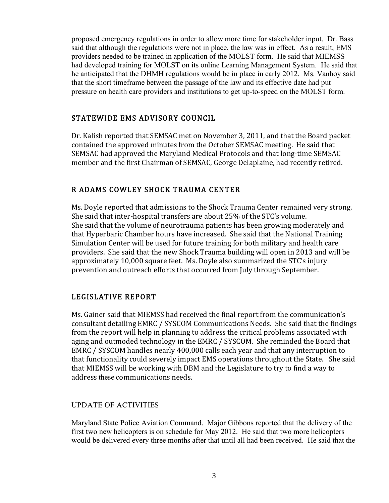proposed emergency regulations in order to allow more time for stakeholder input. Dr. Bass said that although the regulations were not in place, the law was in effect. As a result, EMS providers needed to be trained in application of the MOLST form. He said that MIEMSS had developed training for MOLST on its online Learning Management System. He said that he anticipated that the DHMH regulations would be in place in early 2012. Ms. Vanhoy said that the short timeframe between the passage of the law and its effective date had put pressure on health care providers and institutions to get up-to-speed on the MOLST form.

# STATEWIDE EMS ADVISORY COUNCIL

Dr. Kalish reported that SEMSAC met on November 3, 2011, and that the Board packet contained the approved minutes from the October SEMSAC meeting. He said that SEMSAC had approved the Maryland Medical Protocols and that long-time SEMSAC member and the first Chairman of SEMSAC, George Delaplaine, had recently retired.

# R ADAMS COWLEY SHOCK TRAUMA CENTER

Ms. Doyle reported that admissions to the Shock Trauma Center remained very strong. She said that inter-hospital transfers are about 25% of the STC's volume. She said that the volume of neurotrauma patients has been growing moderately and that Hyperbaric Chamber hours have increased. She said that the National Training Simulation Center will be used for future training for both military and health care providers. She said that the new Shock Trauma building will open in 2013 and will be approximately 10,000 square feet. Ms. Doyle also summarized the STC's injury prevention and outreach efforts that occurred from July through September.

# LEGISLATIVE REPORT

Ms. Gainer said that MIEMSS had received the final report from the communication's consultant detailing EMRC / SYSCOM Communications Needs. She said that the findings from the report will help in planning to address the critical problems associated with aging and outmoded technology in the EMRC / SYSCOM. She reminded the Board that EMRC / SYSCOM handles nearly 400,000 calls each year and that any interruption to that functionality could severely impact EMS operations throughout the State. She said that MIEMSS will be working with DBM and the Legislature to try to find a way to address these communications needs.

# UPDATE OF ACTIVITIES

Maryland State Police Aviation Command. Major Gibbons reported that the delivery of the first two new helicopters is on schedule for May 2012. He said that two more helicopters would be delivered every three months after that until all had been received. He said that the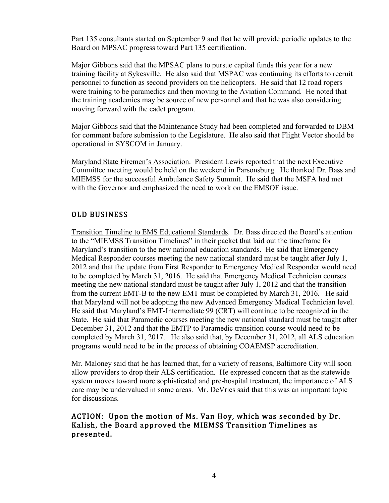Part 135 consultants started on September 9 and that he will provide periodic updates to the Board on MPSAC progress toward Part 135 certification.

Major Gibbons said that the MPSAC plans to pursue capital funds this year for a new training facility at Sykesville. He also said that MSPAC was continuing its efforts to recruit personnel to function as second providers on the helicopters. He said that 12 road ropers were training to be paramedics and then moving to the Aviation Command. He noted that the training academies may be source of new personnel and that he was also considering moving forward with the cadet program.

Major Gibbons said that the Maintenance Study had been completed and forwarded to DBM for comment before submission to the Legislature. He also said that Flight Vector should be operational in SYSCOM in January.

Maryland State Firemen's Association. President Lewis reported that the next Executive Committee meeting would be held on the weekend in Parsonsburg. He thanked Dr. Bass and MIEMSS for the successful Ambulance Safety Summit. He said that the MSFA had met with the Governor and emphasized the need to work on the EMSOF issue.

## OLD BUSINESS

Transition Timeline to EMS Educational Standards. Dr. Bass directed the Board's attention to the "MIEMSS Transition Timelines" in their packet that laid out the timeframe for Maryland's transition to the new national education standards. He said that Emergency Medical Responder courses meeting the new national standard must be taught after July 1, 2012 and that the update from First Responder to Emergency Medical Responder would need to be completed by March 31, 2016. He said that Emergency Medical Technician courses meeting the new national standard must be taught after July 1, 2012 and that the transition from the current EMT-B to the new EMT must be completed by March 31, 2016. He said that Maryland will not be adopting the new Advanced Emergency Medical Technician level. He said that Maryland's EMT-Intermediate 99 (CRT) will continue to be recognized in the State. He said that Paramedic courses meeting the new national standard must be taught after December 31, 2012 and that the EMTP to Paramedic transition course would need to be completed by March 31, 2017. He also said that, by December 31, 2012, all ALS education programs would need to be in the process of obtaining COAEMSP accreditation.

Mr. Maloney said that he has learned that, for a variety of reasons, Baltimore City will soon allow providers to drop their ALS certification. He expressed concern that as the statewide system moves toward more sophisticated and pre-hospital treatment, the importance of ALS care may be undervalued in some areas. Mr. DeVries said that this was an important topic for discussions.

## ACTION: Upon the motion of Ms. Van Hoy, which was seconded by Dr. Kalish, the Board approved the MIEMSS Transition Timelines as presented.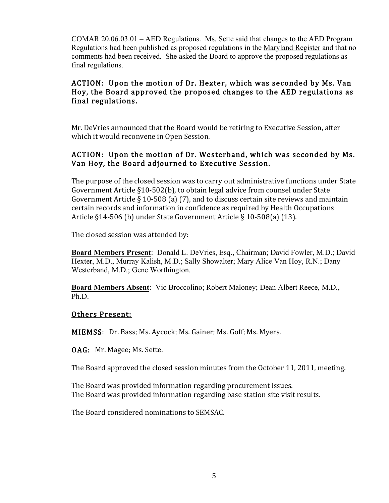COMAR 20.06.03.01 – AED Regulations. Ms. Sette said that changes to the AED Program Regulations had been published as proposed regulations in the Maryland Register and that no comments had been received. She asked the Board to approve the proposed regulations as final regulations.

# ACTION: Upon the motion of Dr. Hexter, which was seconded by Ms. Van Hoy, the Board approved the proposed changes to the AED regulations as final regulations.

Mr. DeVries announced that the Board would be retiring to Executive Session, after which it would reconvene in Open Session.

# ACTION: Upon the motion of Dr. Westerband, which was seconded by Ms. Van Hoy, the Board adjourned to Executive Session.

The purpose of the closed session was to carry out administrative functions under State Government Article  $\S10-502(b)$ , to obtain legal advice from counsel under State Government Article § 10-508 (a) (7), and to discuss certain site reviews and maintain certain records and information in confidence as required by Health Occupations Article §14-506 (b) under State Government Article § 10-508(a) (13).

The closed session was attended by:

**Board Members Present**: Donald L. DeVries, Esq., Chairman; David Fowler, M.D.; David Hexter, M.D., Murray Kalish, M.D.; Sally Showalter; Mary Alice Van Hoy, R.N.; Dany Westerband, M.D.; Gene Worthington.

**Board Members Absent**: Vic Broccolino; Robert Maloney; Dean Albert Reece, M.D., Ph.D.

#### Others Present:

MIEMSS: Dr. Bass; Ms. Aycock; Ms. Gainer; Ms. Goff; Ms. Myers.

**OAG:** Mr. Magee; Ms. Sette.

The Board approved the closed session minutes from the October 11, 2011, meeting.

The Board was provided information regarding procurement issues. The Board was provided information regarding base station site visit results.

The Board considered nominations to SEMSAC.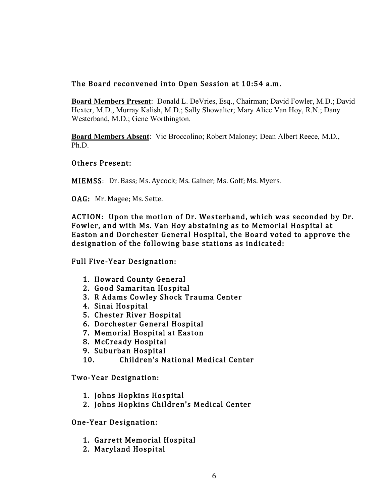## The Board reconvened into Open Session at 10:54 a.m.

**Board Members Present**: Donald L. DeVries, Esq., Chairman; David Fowler, M.D.; David Hexter, M.D., Murray Kalish, M.D.; Sally Showalter; Mary Alice Van Hoy, R.N.; Dany Westerband, M.D.; Gene Worthington.

**Board Members Absent**: Vic Broccolino; Robert Maloney; Dean Albert Reece, M.D., Ph.D.

#### Others Present:

MIEMSS: Dr. Bass; Ms. Aycock; Ms. Gainer; Ms. Goff; Ms. Myers.

OAG: Mr. Magee; Ms. Sette.

ACTION: Upon the motion of Dr. Westerband, which was seconded by Dr. Fowler, and with Ms. Van Hoy abstaining as to Memorial Hospital at Easton and Dorchester General Hospital, the Board voted to approve the designation of the following base stations as indicated:

Full Five-Year Designation:

- 1. Howard County General
- 2. Good Samaritan Hospital
- 3. R Adams Cowley Shock Trauma Center
- 4. Sinai Hospital
- 5. Chester River Hospital
- 6. Dorchester General Hospital
- 7. Memorial Hospital at Easton
- 8. McCready Hospital
- 9. Suburban Hospital
- 10. Children's National Medical Center

Two-Year Designation:

- 1. Johns Hopkins Hospital
- 2. Johns Hopkins Children's Medical Center

#### One-Year Designation:

- 1. Garrett Memorial Hospital
- 2. Maryland Hospital